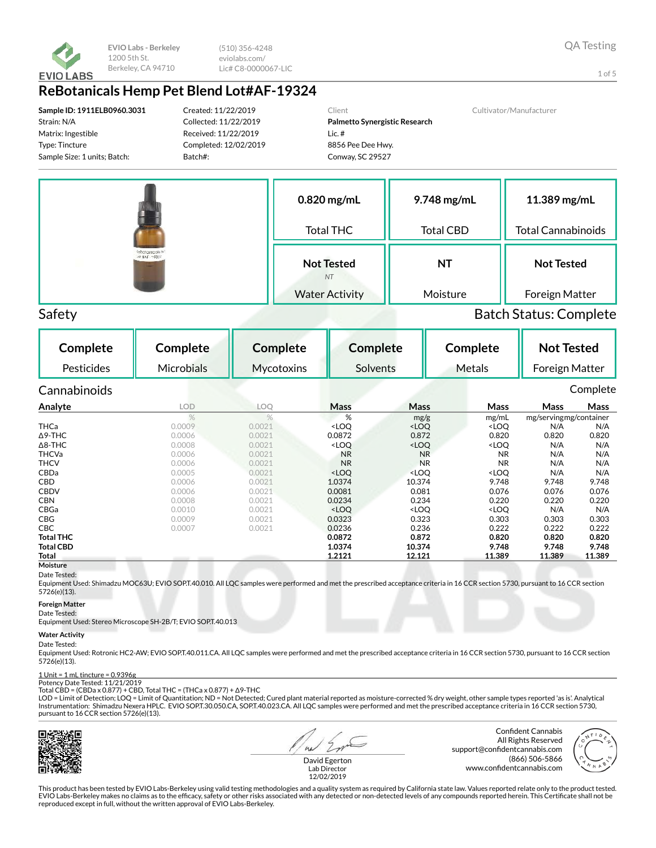

(510) 356-4248 eviolabs.com/ Lic# C8-0000067-LIC

## **ReBotanicals Hemp Pet Blend Lot#AF-19324**

**Sample ID: 1911ELB0960.3031** Strain: N/A Matrix: Ingestible Type: Tincture Sample Size: 1 units; Batch:

Created: 11/22/2019 Collected: 11/22/2019 Received: 11/22/2019 Completed: 12/02/2019 Batch#:

Client **Palmetto Synergistic Research** Lic. # 8856 Pee Dee Hwy. Conway, SC 29527

Cultivator/Manufacturer

|                                   | $0.820$ mg/mL         | 9.748 mg/mL      | 11.389 mg/mL              |
|-----------------------------------|-----------------------|------------------|---------------------------|
|                                   | <b>Total THC</b>      | <b>Total CBD</b> | <b>Total Cannabinoids</b> |
| Reflorant cols in<br>28 IAF 19324 |                       |                  |                           |
|                                   | <b>Not Tested</b>     | NT               | <b>Not Tested</b>         |
|                                   | <b>NT</b>             |                  |                           |
|                                   | <b>Water Activity</b> | Moisture         | Foreign Matter            |

# Safety Batch Status: Complete

**Complete** Pesticides **Complete** Microbials **Complete Mycotoxins Complete** Solvents **Complete** Metals **Not Tested** Foreign Matter Cannabinoids Complete **Analyte LOD LOQ Mass Mass Mass Mass Mass** % % mg/g mg/mL mg/servingmg/container<br>
xLOQ <LOQ <LOQ N/A N/A THCa 0.0009 0.0021 <LOQ <LOQ <LOQ N/A N/A Δ9-THC 0.0006 0.0021 0.0872 0.872 0.820 0.820 0.820 Δ8-THC 0.0008 0.0021 <LOQ <LOQ <LOQ N/A N/A THCVa 0.0006 0.0021 NR NR NR N/A N/A THCV 0.0006 0.0021 NR NR NR N/A N/A CBDa 0.0005 0.0021 <LOQ <LOQ <LOQ N/A N/A CBD 0.0006 0.0021 1.0374 10.374 9.748 9.748 9.748 CBDV 0.0006 0.0021 0.0081 0.081 0.076 0.076 0.076 CBN 0.0008 0.0021 0.0234 0.234 0.220 0.220 0.220  $\mathsf{CBGa}$  0.0010 0.0021 <LOQ <LOQ  $\mathsf{N/A}$  N/A N/A **CBG** 0.0009 0.00021 0.0323 0.323 0.303 0.303 0.303 0.303 **CBC** 0.0007 0.0007 0.0021 0.0236 0.236 0.222 0.222 0.222 **Total THC 0.0872 0.872 0.820 0.820 0.820 Total CBD 1.0374 10.374 9.748 9.748 9.748 Total 1.2121 12.121 11.389 11.389 11.389**

**Moisture** Date Tested:

Equipment Used: Shimadzu MOC63U; EVIO SOP.T.40.010. All LQC samples were performed and met the prescribed acceptance criteria in 16 CCR section 5730, pursuant to 16 CCR section 5726(e)(13).

#### **Foreign Matter**

Date Tested:

Equipment Used: Stereo Microscope SH-2B/T; EVIO SOP.T.40.013

#### **Water Activity**

Date Tested:

Equipment Used: Rotronic HC2-AW; EVIO SOP.T.40.011.CA. All LQC samples were performed and met the prescribed acceptance criteria in 16 CCR section 5730, pursuant to 16 CCR section 5726(e)(13).

## 1 Unit = 1 mL tincture = 0.9396g Potency Date Tested: 11/21/2019

Total CBD = (CBDa x 0.877) + CBD, Total THC = (THCa x 0.877) + Δ9-THC

LOD = Limit of Detection; LOQ = Limit of Quantitation; ND = Not Detected; Cured plant material reported as moisture-corrected % dry weight, other sample types reported 'as is'. Analytical Instrumentation: Shimadzu Nexera HPLC. EVIO SOP.T.30.050.CA, SOP.T.40.023.CA. All LQC samples were performed and met the prescribed acceptance criteria in 16 CCR section 5730, pursuant to 16 CCR section 5726(e)(13).



ta s

Confident Cannabis All Rights Reserved support@confidentcannabis.com (866) 506-5866 www.confidentcannabis.com



QA Testing

1 of 5

David Egerton Lab Director 12/02/2019

This product has been tested by EVIO Labs-Berkeley using valid testing methodologies and a quality system as required by California state law. Values reported relate only to the product tested. EVIO Labs-Berkeley makes no claims as to the efficacy, safety or other risks associated with any detected or non-detected levels of any compounds reported herein. This Certificate shall not be reproduced except in full, without the written approval of EVIO Labs-Berkeley.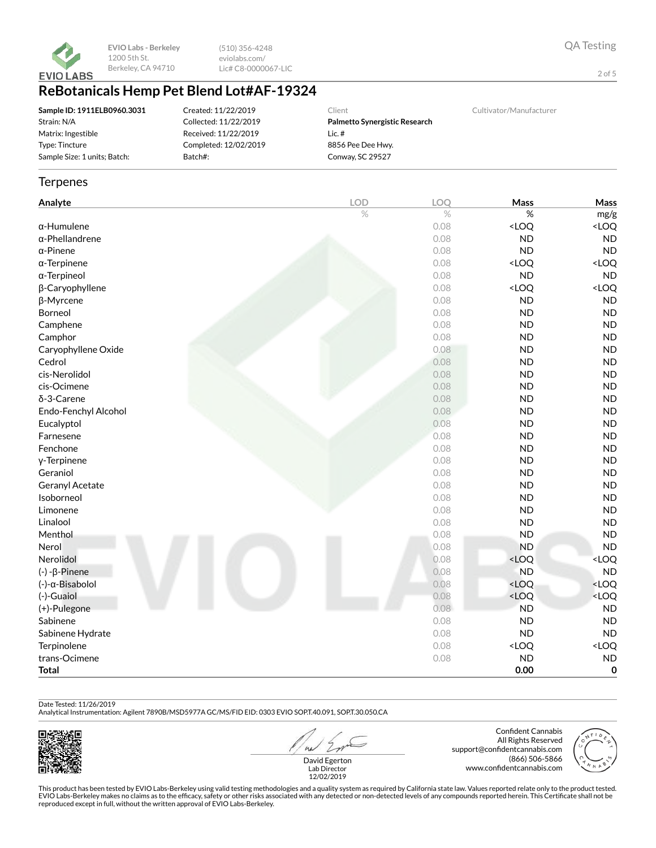

(510) 356-4248 eviolabs.com/ Lic# C8-0000067-LIC

# **ReBotanicals Hemp Pet Blend Lot#AF-19324**

| Sample ID: 1911ELB0960.3031  |
|------------------------------|
| Strain: N/A                  |
| Matrix: Ingestible           |
| Type: Tincture               |
| Sample Size: 1 units; Batch: |

Created: 11/22/2019 Collected: 11/22/2019 Received: 11/22/2019 Completed: 12/02/2019 Batch#:

Client **Palmetto Synergistic Research** Lic. # 8856 Pee Dee Hwy. Conway, SC 29527

Cultivator/Manufacturer

#### **Terpenes**

| Analyte                | <b>LOD</b> | LOQ  | Mass                                            | Mass                |
|------------------------|------------|------|-------------------------------------------------|---------------------|
|                        | $\%$       | $\%$ | $\%$                                            | mg/g                |
| $\alpha$ -Humulene     |            | 0.08 | <loq< td=""><td><loq< td=""></loq<></td></loq<> | <loq< td=""></loq<> |
| $\alpha$ -Phellandrene |            | 0.08 | <b>ND</b>                                       | <b>ND</b>           |
| $\alpha$ -Pinene       |            | 0.08 | <b>ND</b>                                       | <b>ND</b>           |
| $\alpha$ -Terpinene    |            | 0.08 | <loq< td=""><td><loq< td=""></loq<></td></loq<> | <loq< td=""></loq<> |
| α-Terpineol            |            | 0.08 | <b>ND</b>                                       | <b>ND</b>           |
| β-Caryophyllene        |            | 0.08 | <loq< td=""><td><loq< td=""></loq<></td></loq<> | <loq< td=""></loq<> |
| β-Myrcene              |            | 0.08 | <b>ND</b>                                       | <b>ND</b>           |
| Borneol                |            | 0.08 | <b>ND</b>                                       | <b>ND</b>           |
| Camphene               |            | 0.08 | <b>ND</b>                                       | <b>ND</b>           |
| Camphor                |            | 0.08 | <b>ND</b>                                       | <b>ND</b>           |
| Caryophyllene Oxide    |            | 0.08 | <b>ND</b>                                       | <b>ND</b>           |
| Cedrol                 |            | 0.08 | <b>ND</b>                                       | <b>ND</b>           |
| cis-Nerolidol          |            | 0.08 | <b>ND</b>                                       | <b>ND</b>           |
| cis-Ocimene            |            | 0.08 | <b>ND</b>                                       | <b>ND</b>           |
| δ-3-Carene             |            | 0.08 | <b>ND</b>                                       | <b>ND</b>           |
| Endo-Fenchyl Alcohol   |            | 0.08 | <b>ND</b>                                       | <b>ND</b>           |
| Eucalyptol             |            | 0.08 | <b>ND</b>                                       | ND                  |
| Farnesene              |            | 0.08 | <b>ND</b>                                       | <b>ND</b>           |
| Fenchone               |            | 0.08 | <b>ND</b>                                       | <b>ND</b>           |
| y-Terpinene            |            | 0.08 | <b>ND</b>                                       | <b>ND</b>           |
| Geraniol               |            | 0.08 | <b>ND</b>                                       | <b>ND</b>           |
| Geranyl Acetate        |            | 0.08 | <b>ND</b>                                       | <b>ND</b>           |
| Isoborneol             |            | 0.08 | <b>ND</b>                                       | <b>ND</b>           |
| Limonene               |            | 0.08 | <b>ND</b>                                       | <b>ND</b>           |
| Linalool               |            | 0.08 | <b>ND</b>                                       | <b>ND</b>           |
| Menthol                |            | 0.08 | <b>ND</b>                                       | <b>ND</b>           |
| Nerol                  |            | 0.08 | <b>ND</b>                                       | <b>ND</b>           |
| Nerolidol              |            | 0.08 | <loq< td=""><td><loq< td=""></loq<></td></loq<> | <loq< td=""></loq<> |
| $(-) - \beta$ -Pinene  |            | 0.08 | <b>ND</b>                                       | <b>ND</b>           |
| (-)-α-Bisabolol        |            | 0.08 | <loq< td=""><td><loq< td=""></loq<></td></loq<> | <loq< td=""></loq<> |
| (-)-Guaiol             |            | 0.08 | $<$ LOQ                                         | <loq< td=""></loq<> |
| (+)-Pulegone           |            | 0.08 | <b>ND</b>                                       | <b>ND</b>           |
| Sabinene               |            | 0.08 | <b>ND</b>                                       | <b>ND</b>           |
| Sabinene Hydrate       |            | 0.08 | <b>ND</b>                                       | ND                  |
| Terpinolene            |            | 0.08 | <loq< td=""><td><loq< td=""></loq<></td></loq<> | <loq< td=""></loq<> |
| trans-Ocimene          |            | 0.08 | ND                                              | ND                  |
| <b>Total</b>           |            |      | 0.00                                            | 0                   |

Date Tested: 11/26/2019

Analytical Instrumentation: Agilent 7890B/MSD5977A GC/MS/FID EID: 0303 EVIO SOP.T.40.091, SOP.T.30.050.CA



 $AL$ David Egerton

Lab Director

Confident Cannabis All Rights Reserved support@confidentcannabis.com (866) 506-5866 www.confidentcannabis.com



QA Testing

2 of 5

This product has been tested by EVIO Labs-Berkeley using valid testing methodologies and a quality system as required by California state law. Values reported relate only to the product tested. EVIO Labs-Berkeley makes no claims as to the efficacy, safety or other risks associated with any detected or non-detected levels of any compounds reported herein. This Certificate shall not be<br>reproduced except in full, wi 12/02/2019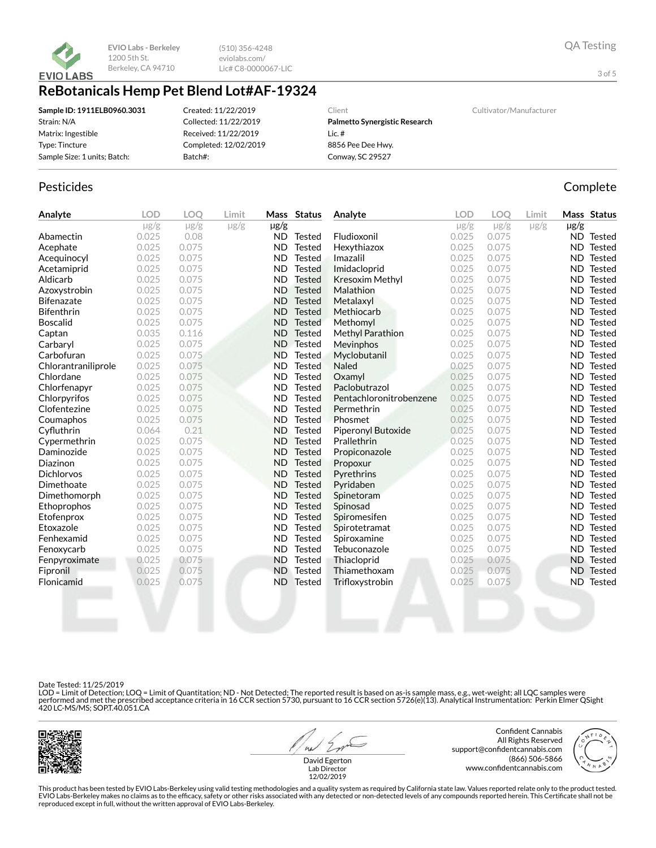

(510) 356-4248 eviolabs.com/ Lic# C8-0000067-LIC

# **ReBotanicals Hemp Pet Blend Lot#AF-19324**

| Sample ID: 1911ELB0960.3031  | Created: 11/22/2019   | Client                        | Cultivator/Manufacturer |
|------------------------------|-----------------------|-------------------------------|-------------------------|
| Strain: N/A                  | Collected: 11/22/2019 | Palmetto Synergistic Research |                         |
| Matrix: Ingestible           | Received: 11/22/2019  | Lic. $#$                      |                         |
| Type: Tincture               | Completed: 12/02/2019 | 8856 Pee Dee Hwy.             |                         |
| Sample Size: 1 units; Batch: | Batch#:               | Conway, SC 29527              |                         |
|                              |                       |                               |                         |

### Pesticides **Complete**

| Analyte             | <b>LOD</b> | <b>LOO</b> | Limit     |           | Mass Status   | Analyte                   | <b>LOD</b> | <b>LOO</b> | Limit     |           | Mass Status      |
|---------------------|------------|------------|-----------|-----------|---------------|---------------------------|------------|------------|-----------|-----------|------------------|
|                     | $\mu$ g/g  | $\mu$ g/g  | $\mu$ g/g | $\mu$ g/g |               |                           | $\mu$ g/g  | $\mu$ g/g  | $\mu$ g/g | $\mu$ g/g |                  |
| Abamectin           | 0.025      | 0.08       |           | ND.       | Tested        | Fludioxonil               | 0.025      | 0.075      |           |           | <b>ND</b> Tested |
| Acephate            | 0.025      | 0.075      |           | <b>ND</b> | Tested        | Hexythiazox               | 0.025      | 0.075      |           | ND.       | Tested           |
| Acequinocyl         | 0.025      | 0.075      |           | <b>ND</b> | Tested        | Imazalil                  | 0.025      | 0.075      |           | <b>ND</b> | Tested           |
| Acetamiprid         | 0.025      | 0.075      |           | <b>ND</b> | <b>Tested</b> | Imidacloprid              | 0.025      | 0.075      |           | ND.       | Tested           |
| Aldicarb            | 0.025      | 0.075      |           | <b>ND</b> | <b>Tested</b> | <b>Kresoxim Methyl</b>    | 0.025      | 0.075      |           | ND.       | Tested           |
| Azoxystrobin        | 0.025      | 0.075      |           | <b>ND</b> | <b>Tested</b> | Malathion                 | 0.025      | 0.075      |           | ND.       | Tested           |
| <b>Bifenazate</b>   | 0.025      | 0.075      |           | <b>ND</b> | <b>Tested</b> | Metalaxyl                 | 0.025      | 0.075      |           | ND.       | Tested           |
| <b>Bifenthrin</b>   | 0.025      | 0.075      |           | <b>ND</b> | <b>Tested</b> | Methiocarb                | 0.025      | 0.075      |           | ND.       | Tested           |
| <b>Boscalid</b>     | 0.025      | 0.075      |           | <b>ND</b> | <b>Tested</b> | Methomyl                  | 0.025      | 0.075      |           | ND.       | Tested           |
| Captan              | 0.035      | 0.116      |           | <b>ND</b> | <b>Tested</b> | <b>Methyl Parathion</b>   | 0.025      | 0.075      |           | ND.       | Tested           |
| Carbaryl            | 0.025      | 0.075      |           | <b>ND</b> | Tested        | <b>Mevinphos</b>          | 0.025      | 0.075      |           | ND.       | Tested           |
| Carbofuran          | 0.025      | 0.075      |           | <b>ND</b> | <b>Tested</b> | Myclobutanil              | 0.025      | 0.075      |           | <b>ND</b> | <b>Tested</b>    |
| Chlorantraniliprole | 0.025      | 0.075      |           | <b>ND</b> | <b>Tested</b> | <b>Naled</b>              | 0.025      | 0.075      |           | ND.       | <b>Tested</b>    |
| Chlordane           | 0.025      | 0.075      |           | <b>ND</b> | <b>Tested</b> | Oxamyl                    | 0.025      | 0.075      |           | ND.       | <b>Tested</b>    |
| Chlorfenapyr        | 0.025      | 0.075      |           | <b>ND</b> | <b>Tested</b> | Paclobutrazol             | 0.025      | 0.075      |           | ND.       | Tested           |
| Chlorpyrifos        | 0.025      | 0.075      |           | <b>ND</b> | <b>Tested</b> | Pentachloronitrobenzene   | 0.025      | 0.075      |           | ND.       | Tested           |
| Clofentezine        | 0.025      | 0.075      |           | <b>ND</b> | <b>Tested</b> | Permethrin                | 0.025      | 0.075      |           | ND.       | Tested           |
| Coumaphos           | 0.025      | 0.075      |           | <b>ND</b> | <b>Tested</b> | Phosmet                   | 0.025      | 0.075      |           | ND.       | Tested           |
| Cyfluthrin          | 0.064      | 0.21       |           | <b>ND</b> | Tested        | <b>Piperonyl Butoxide</b> | 0.025      | 0.075      |           | <b>ND</b> | Tested           |
| Cypermethrin        | 0.025      | 0.075      |           | <b>ND</b> | <b>Tested</b> | Prallethrin               | 0.025      | 0.075      |           | <b>ND</b> | Tested           |
| Daminozide          | 0.025      | 0.075      |           | <b>ND</b> | <b>Tested</b> | Propiconazole             | 0.025      | 0.075      |           | ND.       | <b>Tested</b>    |
| Diazinon            | 0.025      | 0.075      |           | <b>ND</b> | Tested        | Propoxur                  | 0.025      | 0.075      |           | ND.       | Tested           |
| <b>Dichlorvos</b>   | 0.025      | 0.075      |           | <b>ND</b> | Tested        | Pyrethrins                | 0.025      | 0.075      |           | ND.       | Tested           |
| Dimethoate          | 0.025      | 0.075      |           | <b>ND</b> | Tested        | Pyridaben                 | 0.025      | 0.075      |           | ND.       | Tested           |
| Dimethomorph        | 0.025      | 0.075      |           | <b>ND</b> | Tested        | Spinetoram                | 0.025      | 0.075      |           | ND.       | Tested           |
| Ethoprophos         | 0.025      | 0.075      |           | <b>ND</b> | Tested        | Spinosad                  | 0.025      | 0.075      |           | ND.       | Tested           |
| Etofenprox          | 0.025      | 0.075      |           | ND.       | <b>Tested</b> | Spiromesifen              | 0.025      | 0.075      |           | ND.       | Tested           |
| Etoxazole           | 0.025      | 0.075      |           | <b>ND</b> | <b>Tested</b> | Spirotetramat             | 0.025      | 0.075      |           | ND.       | Tested           |
| Fenhexamid          | 0.025      | 0.075      |           | ND.       | <b>Tested</b> | Spiroxamine               | 0.025      | 0.075      |           | ND.       | Tested           |
| Fenoxycarb          | 0.025      | 0.075      |           | <b>ND</b> | <b>Tested</b> | Tebuconazole              | 0.025      | 0.075      |           | ND.       | Tested           |
| Fenpyroximate       | 0.025      | 0.075      |           | <b>ND</b> | Tested        | Thiacloprid               | 0.025      | 0.075      |           |           | <b>ND</b> Tested |
| Fipronil            | 0.025      | 0.075      |           | <b>ND</b> | Tested        | Thiamethoxam              | 0.025      | 0.075      |           |           | <b>ND</b> Tested |
| Flonicamid          | 0.025      | 0.075      |           | ND.       | Tested        | Trifloxystrobin           | 0.025      | 0.075      |           | ND.       | Tested           |
|                     |            |            |           |           |               |                           |            |            |           |           |                  |

Date Tested: 11/25/2019

LOD = Limit of Detection; LOQ = Limit of Quantitation; ND - Not Detected; The reported result is based on as-is sample mass, e.g., wet-weight; all LQC samples were<br>performed and met the prescribed acceptance criteria in 16



 $41$ David Egerton

Confident Cannabis All Rights Reserved support@confidentcannabis.com (866) 506-5866 www.confidentcannabis.com



3 of 5

QA Testing

This product has been tested by EVIO Labs-Berkeley using valid testing methodologies and a quality system as required by California state law. Values reported relate only to the product tested. EVIO Labs-Berkeley makes no claims as to the efficacy, safety or other risks associated with any detected or non-detected levels of any compounds reported herein. This Certificate shall not be<br>reproduced except in full, wi 12/02/2019

Lab Director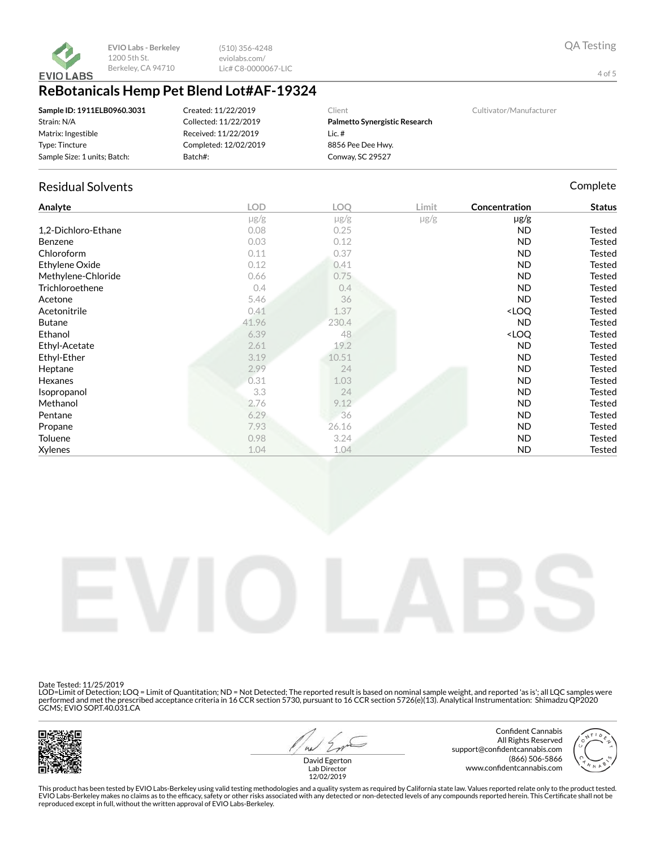

(510) 356-4248 eviolabs.com/ Lic# C8-0000067-LIC

# **ReBotanicals Hemp Pet Blend Lot#AF-19324**

| Sample ID: 1911ELB0960.3031  | Created: 11/22/2019   | Client                        | Cultivator/Manufacturer |
|------------------------------|-----------------------|-------------------------------|-------------------------|
| Strain: N/A                  | Collected: 11/22/2019 | Palmetto Synergistic Research |                         |
| Matrix: Ingestible           | Received: 11/22/2019  | Lic.#                         |                         |
| Type: Tincture               | Completed: 12/02/2019 | 8856 Pee Dee Hwy.             |                         |
| Sample Size: 1 units: Batch: | Batch#:               | Conway, SC 29527              |                         |

### Residual Solvents **Complete**

| Analyte             | <b>LOD</b> | <b>LOQ</b> | Limit     | Concentration                             | <b>Status</b> |
|---------------------|------------|------------|-----------|-------------------------------------------|---------------|
|                     | $\mu$ g/g  | $\mu$ g/g  | $\mu$ g/g | $\mu$ g/g                                 |               |
| 1,2-Dichloro-Ethane | 0.08       | 0.25       |           | <b>ND</b>                                 | Tested        |
| Benzene             | 0.03       | 0.12       |           | <b>ND</b>                                 | <b>Tested</b> |
| Chloroform          | 0.11       | 0.37       |           | <b>ND</b>                                 | <b>Tested</b> |
| Ethylene Oxide      | 0.12       | 0.41       |           | <b>ND</b>                                 | <b>Tested</b> |
| Methylene-Chloride  | 0.66       | 0.75       |           | ND                                        | <b>Tested</b> |
| Trichloroethene     | 0.4        | 0.4        |           | <b>ND</b>                                 | <b>Tested</b> |
| Acetone             | 5.46       | 36         |           | <b>ND</b>                                 | <b>Tested</b> |
| Acetonitrile        | 0.41       | 1.37       |           | <loq< th=""><th><b>Tested</b></th></loq<> | <b>Tested</b> |
| <b>Butane</b>       | 41.96      | 230.4      |           | <b>ND</b>                                 | <b>Tested</b> |
| Ethanol             | 6.39       | 48         |           | <loq< td=""><td><b>Tested</b></td></loq<> | <b>Tested</b> |
| Ethyl-Acetate       | 2.61       | 19.2       |           | ND                                        | <b>Tested</b> |
| Ethyl-Ether         | 3.19       | 10.51      |           | <b>ND</b>                                 | <b>Tested</b> |
| Heptane             | 2.99       | 24         |           | <b>ND</b>                                 | <b>Tested</b> |
| Hexanes             | 0.31       | 1.03       |           | <b>ND</b>                                 | <b>Tested</b> |
| Isopropanol         | 3.3        | 24         |           | ND                                        | <b>Tested</b> |
| Methanol            | 2.76       | 9.12       |           | <b>ND</b>                                 | <b>Tested</b> |
| Pentane             | 6.29       | 36         |           | ND                                        | <b>Tested</b> |
| Propane             | 7.93       | 26.16      |           | <b>ND</b>                                 | <b>Tested</b> |
| Toluene             | 0.98       | 3.24       |           | <b>ND</b>                                 | <b>Tested</b> |
| <b>Xylenes</b>      | 1.04       | 1.04       |           | <b>ND</b>                                 | <b>Tested</b> |



Date Tested: 11/25/2019

LOD=Limit of Detection; LOQ = Limit of Quantitation; ND = Not Detected; The reported result is based on nominal sample weight, and reported 'as is'; all LQC samples were<br>performed and met the prescribed acceptance criteria



 $41$ 

Confident Cannabis All Rights Reserved support@confidentcannabis.com (866) 506-5866 www.confidentcannabis.com



David Egerton Lab Director 12/02/2019

This product has been tested by EVIO Labs-Berkeley using valid testing methodologies and a quality system as required by California state law. Values reported relate only to the product tested. EVIO Labs-Berkeley makes no claims as to the efficacy, safety or other risks associated with any detected or non-detected levels of any compounds reported herein. This Certificate shall not be<br>reproduced except in full, wi